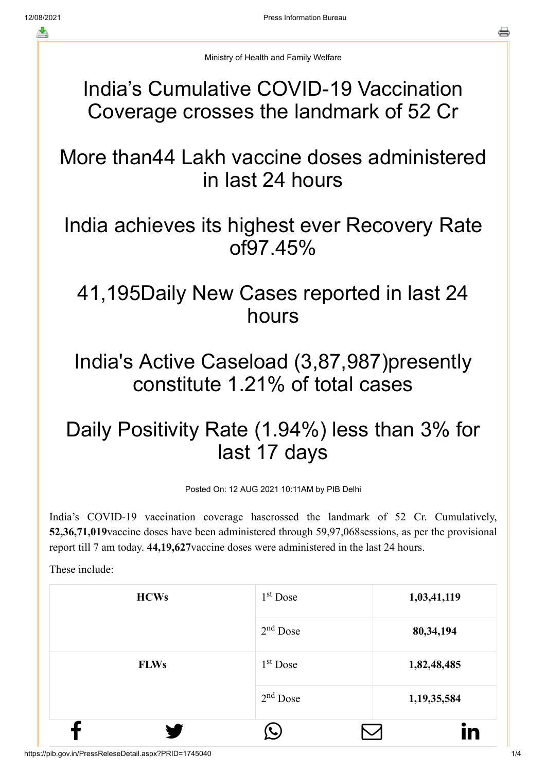Ministry of Health and Family Welfare

### India's Cumulative COVID-19 Vaccination Coverage crosses the landmark of 52 Cr

More than44 Lakh vaccine doses administered in last 24 hours

## India achieves its highest ever Recovery Rate of97.45%

## 41,195Daily New Cases reported in last 24 hours

## India's Active Caseload (3,87,987)presently constitute 1.21% of total cases

# Daily Positivity Rate (1.94%) less than 3% for last 17 days

Posted On: 12 AUG 2021 10:11AM by PIB Delhi

India's COVID-19 vaccination coverage hascrossed the landmark of 52 Cr. Cumulatively, **52,36,71,019**vaccine doses have been administered through 59,97,068sessions, as per the provisional report till 7 am today. **44,19,627**vaccine doses were administered in the last 24 hours.

These include:

| <b>HCWs</b> | $1st$ Dose | 1,03,41,119 |
|-------------|------------|-------------|
|             | $2nd$ Dose | 80,34,194   |
| <b>FLWs</b> | $1st$ Dose | 1,82,48,485 |
|             | $2nd$ Dose | 1,19,35,584 |
| т.          |            | IŊ          |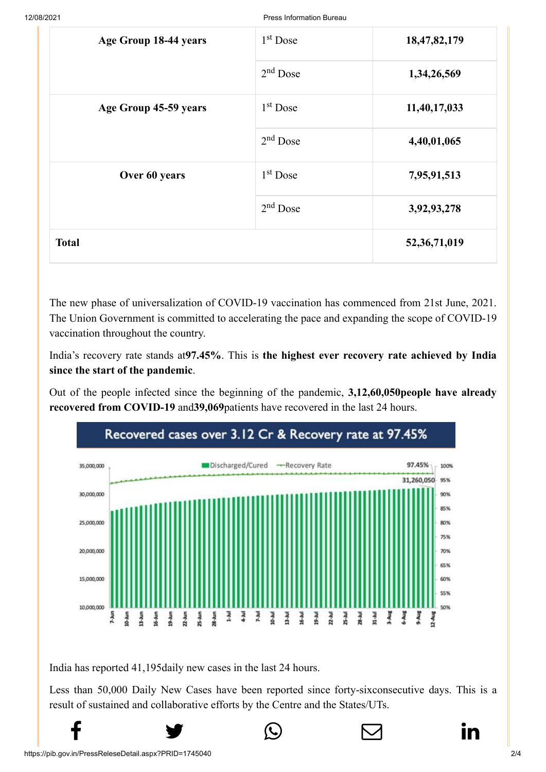| Age Group 18-44 years | 1 <sup>st</sup> Dose | 18,47,82,179    |
|-----------------------|----------------------|-----------------|
|                       | $2nd$ Dose           | 1,34,26,569     |
| Age Group 45-59 years | $1st$ Dose           | 11,40,17,033    |
|                       | $2nd$ Dose           | 4,40,01,065     |
| Over 60 years         | $1st$ Dose           | 7,95,91,513     |
|                       | $2nd$ Dose           | 3,92,93,278     |
| <b>Total</b>          |                      | 52, 36, 71, 019 |

The new phase of universalization of COVID-19 vaccination has commenced from 21st June, 2021. The Union Government is committed to accelerating the pace and expanding the scope of COVID-19 vaccination throughout the country.

India's recovery rate stands at**97.45%**. This is **the highest ever recovery rate achieved by India since the start of the pandemic**.

Out of the people infected since the beginning of the pandemic, **3,12,60,050people have already recovered from COVID-19** and**39,069**patients have recovered in the last 24 hours.



India has reported 41,195daily new cases in the last 24 hours.

Less than 50,000 Daily New Cases have been reported since forty-sixconsecutive days. This is a result of sustained and collaborative efforts by the Centre and the States/UTs.

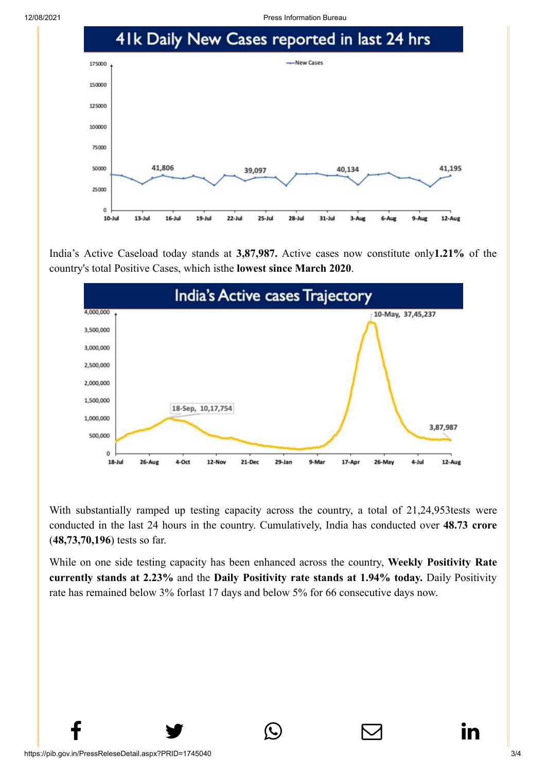12/08/2021 Press Information Bureau



India's Active Caseload today stands at **3,87,987.** Active cases now constitute only**1.21%** of the country's total Positive Cases, which isthe **lowest since March 2020**.



With substantially ramped up testing capacity across the country, a total of 21,24,953tests were conducted in the last 24 hours in the country. Cumulatively, India has conducted over **48.73 crore** (**48,73,70,196**) tests so far.

While on one side testing capacity has been enhanced across the country, **Weekly Positivity Rate currently stands at 2.23%** and the **Daily Positivity rate stands at 1.94% today.** Daily Positivity rate has remained below 3% forlast 17 days and below 5% for 66 consecutive days now.

 $f$  y  $\circledcirc$   $\quad \circledcirc$  in